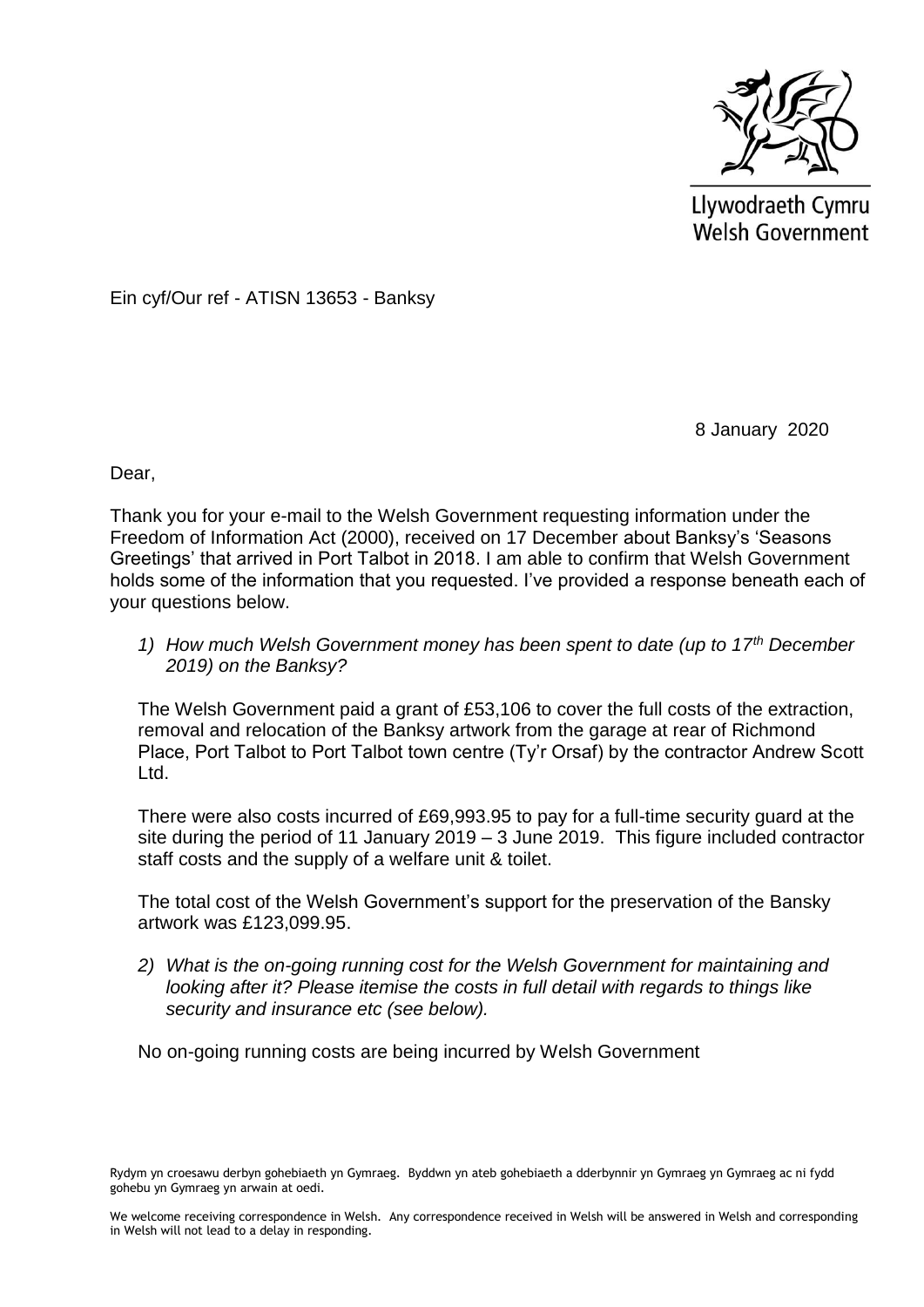

Llywodraeth Cymru Welsh Government

Ein cyf/Our ref - ATISN 13653 - Banksy

8 January 2020

Dear,

Thank you for your e-mail to the Welsh Government requesting information under the Freedom of Information Act (2000), received on 17 December about Banksy's 'Seasons Greetings' that arrived in Port Talbot in 2018. I am able to confirm that Welsh Government holds some of the information that you requested. I've provided a response beneath each of your questions below.

*1) How much Welsh Government money has been spent to date (up to 17th December 2019) on the Banksy?*

The Welsh Government paid a grant of £53,106 to cover the full costs of the extraction, removal and relocation of the Banksy artwork from the garage at rear of Richmond Place, Port Talbot to Port Talbot town centre (Ty'r Orsaf) by the contractor Andrew Scott Ltd.

There were also costs incurred of £69,993.95 to pay for a full-time security guard at the site during the period of 11 January 2019 – 3 June 2019. This figure included contractor staff costs and the supply of a welfare unit & toilet.

The total cost of the Welsh Government's support for the preservation of the Bansky artwork was £123,099.95.

*2) What is the on-going running cost for the Welsh Government for maintaining and looking after it? Please itemise the costs in full detail with regards to things like security and insurance etc (see below).*

No on-going running costs are being incurred by Welsh Government

Rydym yn croesawu derbyn gohebiaeth yn Gymraeg. Byddwn yn ateb gohebiaeth a dderbynnir yn Gymraeg yn Gymraeg ac ni fydd gohebu yn Gymraeg yn arwain at oedi.